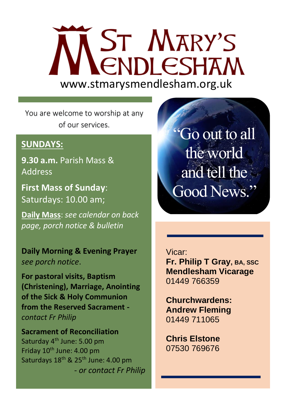# **ST MARY'S CNDLESHAM** www.stmarysmendlesham.org.uk

You are welcome to worship at any of our services.

### **SUNDAYS:**

**9.30 a.m.** Parish Mass & Address

**First Mass of Sunday**: Saturdays: 10.00 am;

**Daily Mass**: *see calendar on back page, porch notice & bulletin*

**Daily Morning & Evening Prayer**  *see porch notice*.

**For pastoral visits, Baptism (Christening), Marriage, Anointing of the Sick & Holy Communion from the Reserved Sacrament**  *contact Fr Philip*

**Sacrament of Reconciliation**  Saturday 4<sup>th</sup> June: 5.00 pm Friday  $10^{th}$  June: 4.00 pm Saturdays 18<sup>th</sup> & 25<sup>th</sup> June: 4.00 pm - *or contact Fr Philip*

"Go out to all the world and tell the Good News."

#### Vicar:

 $\overline{\phantom{a}}$  **Mendlesham Vicarage** י<br>ה 01449 766359 **Fr. Philip T Gray, BA, SSC**

l

 **Churchwardens: Andrew Fleming**  01449 711065 Ī

 **Chris Elstone**  07530 769676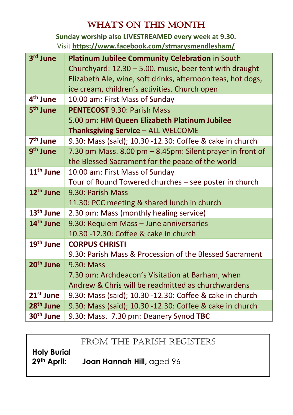# WHAT'S ON THIS MONTH

**Sunday worship also LIVESTREAMED every week at 9.30.** Visit **<https://www.facebook.com/stmarysmendlesham/>**

| 3rd June              | Platinum Jubilee Community Celebration in South             |
|-----------------------|-------------------------------------------------------------|
|                       | Churchyard: 12.30 - 5.00. music, beer tent with draught     |
|                       | Elizabeth Ale, wine, soft drinks, afternoon teas, hot dogs, |
|                       | ice cream, children's activities. Church open               |
| 4 <sup>th</sup> June  | 10.00 am: First Mass of Sunday                              |
| 5 <sup>th</sup> June  | <b>PENTECOST 9.30: Parish Mass</b>                          |
|                       | 5.00 pm: HM Queen Elizabeth Platinum Jubilee                |
|                       | Thanksgiving Service - ALL WELCOME                          |
| 7 <sup>th</sup> June  | 9.30: Mass (said); 10.30 -12.30: Coffee & cake in church    |
| 9 <sup>th</sup> June  | 7.30 pm Mass. 8.00 pm - 8.45pm: Silent prayer in front of   |
|                       | the Blessed Sacrament for the peace of the world            |
| 11 <sup>th</sup> June | 10.00 am: First Mass of Sunday                              |
|                       | Tour of Round Towered churches - see poster in church       |
| 12 <sup>th</sup> June | 9.30: Parish Mass                                           |
|                       | 11.30: PCC meeting & shared lunch in church                 |
| 13 <sup>th</sup> June | 2.30 pm: Mass (monthly healing service)                     |
| 14 <sup>th</sup> June | 9.30: Requiem Mass - June anniversaries                     |
|                       | 10.30 -12.30: Coffee & cake in church                       |
| 19 <sup>th</sup> June | <b>CORPUS CHRISTI</b>                                       |
|                       | 9.30: Parish Mass & Procession of the Blessed Sacrament     |
| 20 <sup>th</sup> June | 9.30: Mass                                                  |
|                       | 7.30 pm: Archdeacon's Visitation at Barham, when            |
|                       | Andrew & Chris will be readmitted as churchwardens          |
| $21^{st}$ June        | 9.30: Mass (said); 10.30 -12.30: Coffee & cake in church    |
| 28 <sup>th</sup> June | 9.30: Mass (said); 10.30 -12.30: Coffee & cake in church    |
| 30 <sup>th</sup> June | 9.30: Mass. 7.30 pm: Deanery Synod TBC                      |

### FROM THE PARISH REGISTERS

**Holy Burial**

**29th April: Joan Hannah Hill,** aged 96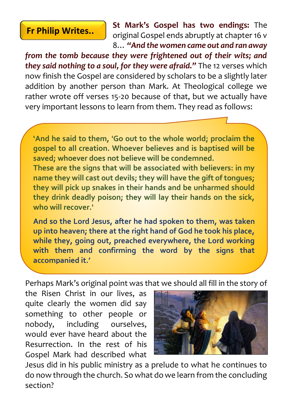## **Fr Philip Writes..**

**St Mark's Gospel has two endings:** The original Gospel ends abruptly at chapter 16 v 8… *"And the women came out and ran away* 

*from the tomb because they were frightened out of their wits; and they said nothing to a soul, for they were afraid."* The 12 verses which now finish the Gospel are considered by scholars to be a slightly later addition by another person than Mark. At Theological college we rather wrote off verses 15-20 because of that, but we actually have very important lessons to learn from them. They read as follows:

**'And he said to them, 'Go out to the whole world; proclaim the gospel to all creation. Whoever believes and is baptised will be saved; whoever does not believe will be condemned. These are the signs that will be associated with believers: in my** 

**name they will cast out devils; they will have the gift of tongues; they will pick up snakes in their hands and be unharmed should they drink deadly poison; they will lay their hands on the sick, who will recover.'**

**And so the Lord Jesus, after he had spoken to them, was taken up into heaven; there at the right hand of God he took his place, while they, going out, preached everywhere, the Lord working with them and confirming the word by the signs that accompanied it.'**

Perhaps Mark's original point was that we should all fill in the story of

the Risen Christ in our lives, as quite clearly the women did say something to other people or nobody, including ourselves, would ever have heard about the Resurrection. In the rest of his Gospel Mark had described what



Jesus did in his public ministry as a prelude to what he continues to do now through the church. So what do we learn from the concluding section?